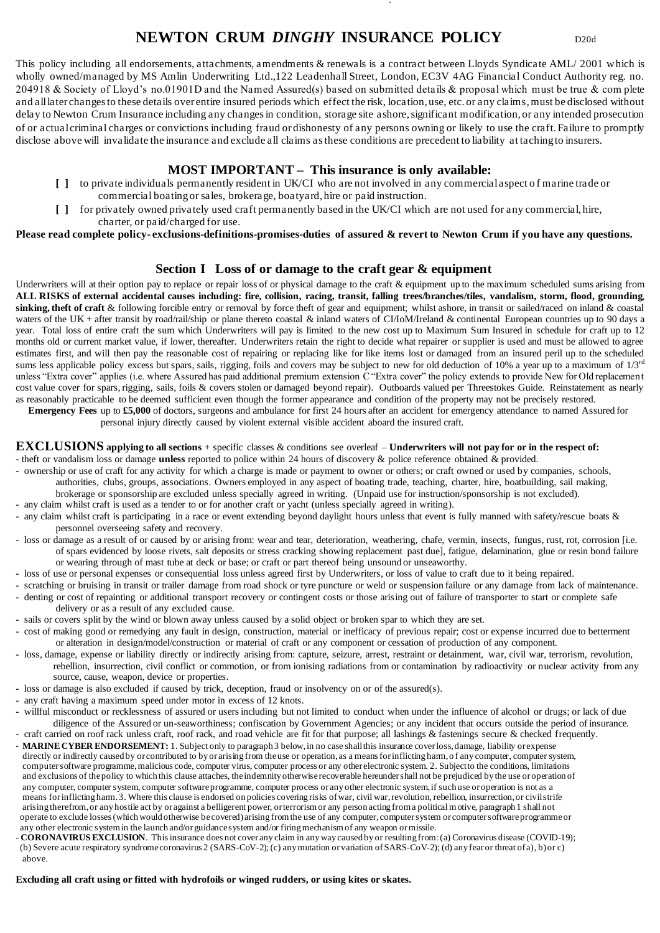# **NEWTON CRUM** *DINGHY* **INSURANCE POLICY** D20d

This policy including all endorsements, attachments, amendments & renewals is a contract between Lloyds Syndicate AML/ 2001 which is wholly owned/managed by MS Amlin Underwriting Ltd.,122 Leadenhall Street, London, EC3V 4AG Financial Conduct Authority reg. no. 204918 & Society of Lloyd's no.01901D and the Named Assured(s) based on submitted details & proposal which must be true & com plete and all later changes to these details over entire insured periods which effect the risk, location, use, etc. or any claims, must be disclosed without delay to Newton Crum Insurance including any changes in condition, storage site ashore, significant modification, or any intended prosecution of or actual criminal charges or convictions including fraud or dishonesty of any persons owning or likely to use the craft. Failure to promptly disclose above will invalidate the insurance and exclude all claims as these conditions are precedent to liability at taching to insurers.

**`**

### **MOST IMPORTANT – This insurance is only available:**

- **[ ]** to private individuals permanently resident in UK/CI who are not involved in any commercial aspect o f marine trade or commercial boating or sales, brokerage, boatyard, hire or paid instruction.
- **[ ]** for privately owned privately used craft permanently based in the UK/CI which are not used for any commercial, hire, charter, or paid/charged for use.

**Please read complete policy- exclusions-definitions-promises-duties of assured & revert to Newton Crum if you have any questions.**

### **Section I Loss of or damage to the craft gear & equipment**

Underwriters will at their option pay to replace or repair loss of or physical damage to the craft & equipment up to the maximum scheduled sums arising from **ALL RISKS of external accidental causes including: fire, collision, racing, transit, falling trees/branches/tiles, vandalism, storm, flood, grounding**, sinking, theft of craft & following forcible entry or removal by force theft of gear and equipment; whilst ashore, in transit or sailed/raced on inland & coastal waters of the UK + after transit by road/rail/ship or plane thereto coastal & inland waters of CI/IoM/Ireland & continental European countries up to 90 days a year. Total loss of entire craft the sum which Underwriters will pay is limited to the new cost up to Maximum Sum Insured in schedule for craft up to 12 months old or current market value, if lower, thereafter. Underwriters retain the right to decide what repairer or supplier is used and must be allowed to agree estimates first, and will then pay the reasonable cost of repairing or replacing like for like items lost or damaged from an insured peril up to the scheduled sums less applicable policy excess but spars, sails, rigging, foils and covers may be subject to new for old deduction of 10% a year up to a maximum of 1/3<sup>rd</sup> unless "Extra cover" applies (i.e. where Assured has paid additional premium extension C "Extra cover" the policy extends to provide New for Old replacement cost value cover for spars, rigging, sails, foils & covers stolen or damaged beyond repair). Outboards valued per Threestokes Guide. Reinstatement as nearly as reasonably practicable to be deemed sufficient even though the former appearance and condition of the property may not be precisely restored.

 **Emergency Fees** up to **£5,000** of doctors, surgeons and ambulance for first 24 hours after an accident for emergency attendance to named Assured for personal injury directly caused by violent external visible accident aboard the insured craft.

#### **EXCLUSIONS applying to all sections** + specific classes & conditions see overleaf – **Underwriters will not pay for or in the respect of:**

- theft or vandalism loss or damage **unless** reported to police within 24 hours of discovery & police reference obtained & provided.

- ownership or use of craft for any activity for which a charge is made or payment to owner or others; or craft owned or used by companies, schools, authorities, clubs, groups, associations. Owners employed in any aspect of boating trade, teaching, charter, hire, boatbuilding, sail making, brokerage or sponsorship are excluded unless specially agreed in writing. (Unpaid use for instruction/sponsorship is not excluded).
- any claim whilst craft is used as a tender to or for another craft or yacht (unless specially agreed in writing).
- any claim whilst craft is participating in a race or event extending beyond daylight hours unless that event is fully manned with safety/rescue boats & personnel overseeing safety and recovery.
- loss or damage as a result of or caused by or arising from: wear and tear, deterioration, weathering, chafe, vermin, insects, fungus, rust, rot, corrosion [i.e. of spars evidenced by loose rivets, salt deposits or stress cracking showing replacement past due], fatigue, delamination, glue or resin bond failure or wearing through of mast tube at deck or base; or craft or part thereof being unsound or unseaworthy.
- loss of use or personal expenses or consequential loss unless agreed first by Underwriters, or loss of value to craft due to it being repaired.
- scratching or bruising in transit or trailer damage from road shock or tyre puncture or weld or suspension failure or any damage from lack of maintenance.
- denting or cost of repainting or additional transport recovery or contingent costs or those arising out of failure of transporter to start or complete safe
- delivery or as a result of any excluded cause. - sails or covers split by the wind or blown away unless caused by a solid object or broken spar to which they are set.
- cost of making good or remedying any fault in design, construction, material or inefficacy of previous repair; cost or expense incurred due to betterment or alteration in design/model/construction or material of craft or any component or cessation of production of any component.
- loss, damage, expense or liability directly or indirectly arising from: capture, seizure, arrest, restraint or detainment, war, civil war, terrorism, revolution, rebellion, insurrection, civil conflict or commotion, or from ionising radiations from or contamination by radioactivity or nuclear activity from any source, cause, weapon, device or properties.
- loss or damage is also excluded if caused by trick, deception, fraud or insolvency on or of the assured(s).
- any craft having a maximum speed under motor in excess of 12 knots.
- willful misconduct or recklessness of assured or users including but not limited to conduct when under the influence of alcohol or drugs; or lack of due diligence of the Assured or un-seaworthiness; confiscation by Government Agencies; or any incident that occurs outside the period of insurance. - craft carried on roof rack unless craft, roof rack, and road vehicle are fit for that purpose; all lashings & fastenings secure & checked frequently.
- **MARINE CYBER ENDORSEMENT:** 1. Subject only to paragraph 3 below, in no case shall this insurance cover loss, damage, liability or expense directly or indirectly caused by or contributed to by or arising from the use or operation, as a means for inflicting harm, o f any computer, computer system, computer software programme, malicious code, computer virus, computer process or any other electronic system. 2. Subject to the conditions, limitations and exclusions of the policy to which this clause attaches, the indemnity otherwise recoverable hereunder shall not be prejudiced by the use or operation of any computer, computer system, computer software programme, computer process or any other electronic system, if such use or operation is not as a means for inflicting harm. 3. Where this clause is endorsed on policies covering risks of war, civil war, revolution, rebellion, insurrection, or civil strife arising therefrom, or any hostile act by or against a belligerent power, or terrorism or any person acting from a political motive, paragraph 1 shall not operate to exclude losses (which would otherwise be covered) arising from the use of any computer, computer system or computer software programme or any other electronic system in the launch and/or guidance system and/or firing mechanism of any weapon or missile.
- **CORONAVIRUS EXCLUSION**. This insurance does not cover any claim in any way caused by or resulting from: (a) Coronavirus disease (COVID-19); (b) Severe acute respiratory syndrome coronavirus 2 (SARS-CoV-2); (c) any mutation or variation of SARS-CoV-2); (d) any fear or threat of a), b) or c) above.

#### **Excluding all craft using or fitted with hydrofoils or winged rudders, or using kites or skates.**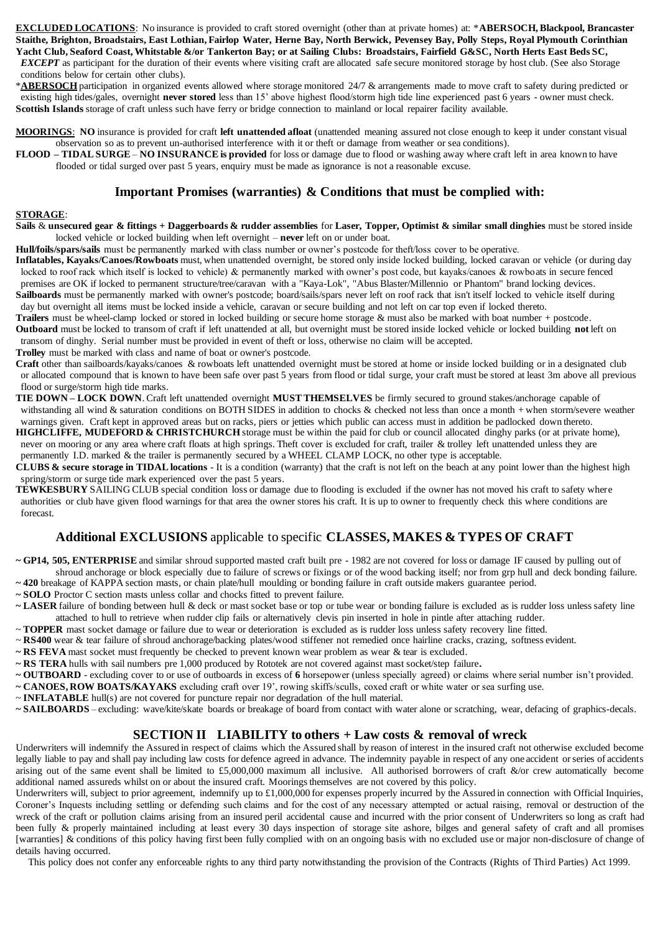**EXCLUDED LOCATIONS**: No insurance is provided to craft stored overnight (other than at private homes) at: \***ABERSOCH, Blackpool, Brancaster Staithe, Brighton, Broadstairs, East Lothian, Fairlop Water, Herne Bay, North Berwick, Pevensey Bay, Polly Steps, Royal Plymouth Corinthian Yacht Club, Seaford Coast, Whitstable &/or Tankerton Bay; or at Sailing Clubs: Broadstairs, Fairfield G&SC, North Herts East Beds SC,** 

**EXCEPT** as participant for the duration of their events where visiting craft are allocated safe secure monitored storage by host club. (See also Storage conditions below for certain other clubs).

\***ABERSOCH**participation in organized events allowed where storage monitored 24/7 & arrangements made to move craft to safety during predicted or existing high tides/gales, overnight **never stored** less than 15' above highest flood/storm high tide line experienced past 6 years - owner must check. **Scottish Islands** storage of craft unless such have ferry or bridge connection to mainland or local repairer facility available.

**MOORINGS**: **NO** insurance is provided for craft **left unattended afloat** (unattended meaning assured not close enough to keep it under constant visual observation so as to prevent un-authorised interference with it or theft or damage from weather or sea conditions).

**FLOOD – TIDAL SURGE** – **NO INSURANCE is provided** for loss or damage due to flood or washing away where craft left in area known to have flooded or tidal surged over past 5 years, enquiry must be made as ignorance is not a reasonable excuse.

### **Important Promises (warranties) & Conditions that must be complied with:**

#### **STORAGE**:

**Sails** & **unsecured gear & fittings + Daggerboards & rudder assemblies** for **Laser, Topper, Optimist & similar small dinghies** must be stored inside locked vehicle or locked building when left overnight – **never** left on or under boat.

**Hull/foils/spars/sails** must be permanently marked with class number or owner's postcode for theft/loss cover to be operative.

**Inflatables, Kayaks/Canoes/Rowboats** must, when unattended overnight, be stored only inside locked building, locked caravan or vehicle (or during day locked to roof rack which itself is locked to vehicle) & permanently marked with owner's post code, but kayaks/canoes & rowboats in secure fenced premises are OK if locked to permanent structure/tree/caravan with a "Kaya-Lok", "Abus Blaster/Millennio or Phantom" brand locking devices. Sailboards must be permanently marked with owner's postcode; board/sails/spars never left on roof rack that isn't itself locked to vehicle itself during

 day but overnight all items must be locked inside a vehicle, caravan or secure building and not left on car top even if locked thereto. **Trailers** must be wheel-clamp locked or stored in locked building or secure home storage & must also be marked with boat number + postcode.

**Outboard** must be locked to transom of craft if left unattended at all, but overnight must be stored inside locked vehicle or locked building **not** left on transom of dinghy. Serial number must be provided in event of theft or loss, otherwise no claim will be accepted.

**Trolley** must be marked with class and name of boat or owner's postcode.

**Craft** other than sailboards/kayaks/canoes & rowboats left unattended overnight must be stored at home or inside locked building or in a designated club or allocated compound that is known to have been safe over past 5 years from flood or tidal surge, your craft must be stored at least 3m above all previous flood or surge/storm high tide marks.

**TIE DOWN – LOCK DOWN**. Craft left unattended overnight **MUST THEMSELVES** be firmly secured to ground stakes/anchorage capable of withstanding all wind & saturation conditions on BOTH SIDES in addition to chocks & checked not less than once a month + when storm/severe weather warnings given. Craft kept in approved areas but on racks, piers or jetties which public can access must in addition be padlocked down thereto.

**HIGHCLIFFE, MUDEFORD & CHRISTCHURCH** storage must be within the paid for club or council allocated dinghy parks (or at private home), never on mooring or any area where craft floats at high springs. Theft cover is excluded for craft, trailer & trolley left unattended unless they are permanently I.D. marked & the trailer is permanently secured by a WHEEL CLAMP LOCK, no other type is acceptable.

**CLUBS & secure storage in TIDAL locations** - It is a condition (warranty) that the craft is not left on the beach at any point lower than the highest high spring/storm or surge tide mark experienced over the past 5 years.

**TEWKESBURY** SAILING CLUB special condition loss or damage due to flooding is excluded if the owner has not moved his craft to safety where authorities or club have given flood warnings for that area the owner stores his craft. It is up to owner to frequently check this where conditions are forecast.

## **Additional EXCLUSIONS** applicable to specific **CLASSES, MAKES & TYPES OF CRAFT**

**~ GP14, 505, ENTERPRISE** and similar shroud supported masted craft built pre - 1982 are not covered for loss or damage IF caused by pulling out of shroud anchorage or block especially due to failure of screws or fixings or of the wood backing itself; nor from grp hull and deck bonding failure.

**~ 420** breakage of KAPPA section masts, or chain plate/hull moulding or bonding failure in craft outside makers guarantee period.

**~ SOLO** Proctor C section masts unless collar and chocks fitted to prevent failure.

- **~ LASER** failure of bonding between hull & deck or mast socket base or top or tube wear or bonding failure is excluded as is rudder loss unless safety line attached to hull to retrieve when rudder clip fails or alternatively clevis pin inserted in hole in pintle after attaching rudder.
- ~ **TOPPER** mast socket damage or failure due to wear or deterioration is excluded as is rudder loss unless safety recovery line fitted.
- ~ **RS400** wear & tear failure of shroud anchorage/backing plates/wood stiffener not remedied once hairline cracks, crazing, softness evident.
- **~ RS FEVA** mast socket must frequently be checked to prevent known wear problem as wear & tear is excluded.
- **~ RS TERA** hulls with sail numbers pre 1,000 produced by Rototek are not covered against mast socket/step failure**.**
- **~ OUTBOARD** excluding cover to or use of outboards in excess of **6** horsepower (unless specially agreed) or claims where serial number isn't provided.
- **~ CANOES, ROW BOATS/KAYAKS** excluding craft over 19', rowing skiffs/sculls, coxed craft or white water or sea surfing use.
- ~ **INFLATABLE** hull(s) are not covered for puncture repair nor degradation of the hull material.
- **~ SAILBOARDS** excluding: wave/kite/skate boards or breakage of board from contact with water alone or scratching, wear, defacing of graphics-decals.

### **SECTION II LIABILITY to others + Law costs & removal of wreck**

Underwriters will indemnify the Assured in respect of claims which the Assured shall by reason of interest in the insured craft not otherwise excluded become legally liable to pay and shall pay including law costs for defence agreed in advance. The indemnity payable in respect of any one accident or series of accidents arising out of the same event shall be limited to £5,000,000 maximum all inclusive. All authorised borrowers of craft  $\&$ /or crew automatically become additional named assureds whilst on or about the insured craft. Moorings themselves are not covered by this policy.

Underwriters will, subject to prior agreement, indemnify up to £1,000,000 for expenses properly incurred by the Assured in connection with Official Inquiries, Coroner's Inquests including settling or defending such claims and for the cost of any necessary attempted or actual raising, removal or destruction of the wreck of the craft or pollution claims arising from an insured peril accidental cause and incurred with the prior consent of Underwriters so long as craft had been fully & properly maintained including at least every 30 days inspection of storage site ashore, bilges and general safety of craft and all promises [warranties] & conditions of this policy having first been fully complied with on an ongoing basis with no excluded use or major non-disclosure of change of details having occurred.

This policy does not confer any enforceable rights to any third party notwithstanding the provision of the Contracts (Rights of Third Parties) Act 1999.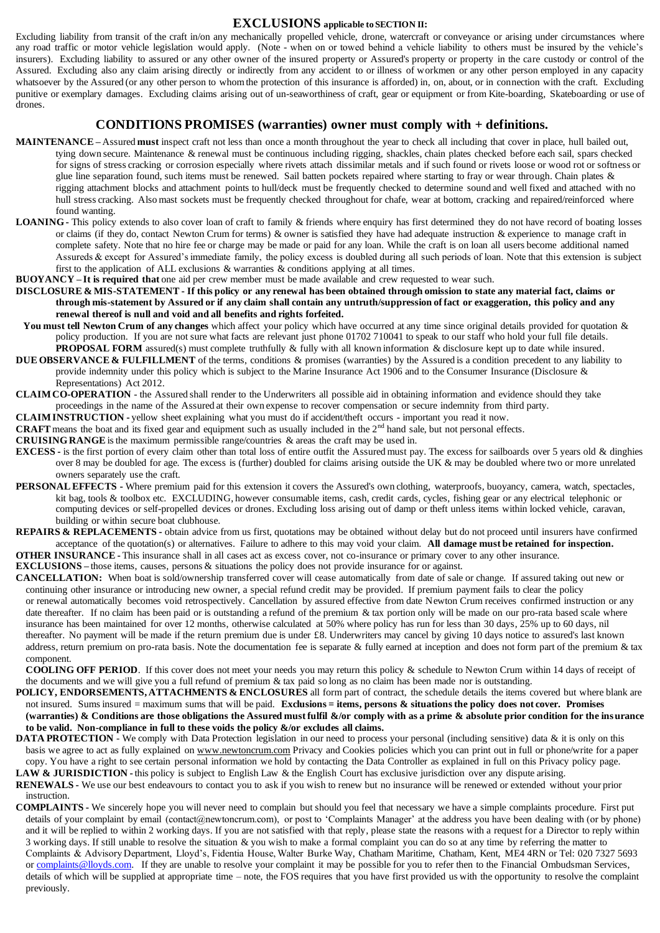#### **EXCLUSIONS applicable to SECTION II:**

Excluding liability from transit of the craft in/on any mechanically propelled vehicle, drone, watercraft or conveyance or arising under circumstances where any road traffic or motor vehicle legislation would apply. (Note - when on or towed behind a vehicle liability to others must be insured by the vehicle's insurers). Excluding liability to assured or any other owner of the insured property or Assured's property or property in the care custody or control of the Assured. Excluding also any claim arising directly or indirectly from any accident to or illness of workmen or any other person employed in any capacity whatsoever by the Assured (or any other person to whom the protection of this insurance is afforded) in, on, about, or in connection with the craft. Excluding punitive or exemplary damages. Excluding claims arising out of un-seaworthiness of craft, gear or equipment or from Kite-boarding, Skateboarding or use of drones.

#### **CONDITIONS PROMISES (warranties) owner must comply with + definitions.**

- **MAINTENANCE –** Assured **must** inspect craft not less than once a month throughout the year to check all including that cover in place, hull bailed out, tying down secure. Maintenance & renewal must be continuous including rigging, shackles, chain plates checked before each sail, spars checked for signs of stress cracking or corrosion especially where rivets attach dissimilar metals and if such found or rivets loose or wood rot or softness or glue line separation found, such items must be renewed. Sail batten pockets repaired where starting to fray or wear through. Chain plates & rigging attachment blocks and attachment points to hull/deck must be frequently checked to determine sound and well fixed and attached with no hull stress cracking. Also mast sockets must be frequently checked throughout for chafe, wear at bottom, cracking and repaired/reinforced where found wanting.
- **LOANING -** This policy extends to also cover loan of craft to family & friends where enquiry has first determined they do not have record of boating losses or claims (if they do, contact Newton Crum for terms) & owner is satisfied they have had adequate instruction & experience to manage craft in complete safety. Note that no hire fee or charge may be made or paid for any loan. While the craft is on loan all users become additional named Assureds & except for Assured's immediate family, the policy excess is doubled during all such periods of loan. Note that this extension is subject first to the application of ALL exclusions  $\&$  warranties  $\&$  conditions applying at all times.
- **BUOYANCY – It is required that** one aid per crew member must be made available and crew requested to wear such.
- **DISCLOSURE & MIS-STATEMENT - If this policy or any renewal has been obtained through omission to state any material fact, claims or through mis-statement by Assured or if any claim shall contain any untruth/suppression of fact or exaggeration, this policy and any renewal thereof is null and void and all benefits and rights forfeited.**
- **You must tell Newton Crum of any changes** which affect your policy which have occurred at any time since original details provided for quotation & policy production. If you are not sure what facts are relevant just phone 01702 710041 to speak to our staff who hold your full file details. **PROPOSAL FORM** assured(s) must complete truthfully & fully with all known information & disclosure kept up to date while insured.
- **DUE OBSERVANCE & FULFILLMENT** of the terms, conditions & promises (warranties) by the Assured is a condition precedent to any liability to provide indemnity under this policy which is subject to the Marine Insurance Act 1906 and to the Consumer Insurance (Disclosure & Representations) Act 2012.
- **CLAIM CO-OPERATION** the Assured shall render to the Underwriters all possible aid in obtaining information and evidence should they take proceedings in the name of the Assured at their own expense to recover compensation or secure indemnity from third party.
- **CLAIM INSTRUCTION -** yellow sheet explaining what you must do if accident/theft occurs important you read it now.
- **CRAFT** means the boat and its fixed gear and equipment such as usually included in the 2<sup>nd</sup> hand sale, but not personal effects.

**CRUISING RANGE** is the maximum permissible range/countries & areas the craft may be used in.

- **EXCESS -** is the first portion of every claim other than total loss of entire outfit the Assured must pay. The excess for sailboards over 5 years old & dinghies over 8 may be doubled for age. The excess is (further) doubled for claims arising outside the UK & may be doubled where two or more unrelated owners separately use the craft.
- **PERSONAL EFFECTS -** Where premium paid for this extension it covers the Assured's own clothing, waterproofs, buoyancy, camera, watch, spectacles, kit bag, tools & toolbox etc. EXCLUDING, however consumable items, cash, credit cards, cycles, fishing gear or any electrical telephonic or computing devices or self-propelled devices or drones. Excluding loss arising out of damp or theft unless items within locked vehicle, caravan, building or within secure boat clubhouse.
- **REPAIRS & REPLACEMENTS -** obtain advice from us first, quotations may be obtained without delay but do not proceed until insurers have confirmed acceptance of the quotation(s) or alternatives. Failure to adhere to this may void your claim. **All damage must be retained for inspection. OTHER INSURANCE -** This insurance shall in all cases act as excess cover, not co-insurance or primary cover to any other insurance.

**EXCLUSIONS –** those items, causes, persons & situations the policy does not provide insurance for or against.

**CANCELLATION:** When boat is sold/ownership transferred cover will cease automatically from date of sale or change. If assured taking out new or continuing other insurance or introducing new owner, a special refund credit may be provided. If premium payment fails to clear the policy or renewal automatically becomes void retrospectively. Cancellation by assured effective from date Newton Crum receives confirmed instruction or any date thereafter. If no claim has been paid or is outstanding a refund of the premium & tax portion only will be made on our pro-rata based scale where insurance has been maintained for over 12 months, otherwise calculated at 50% where policy has run for less than 30 days, 25% up to 60 days, nil thereafter. No payment will be made if the return premium due is under £8. Underwriters may cancel by giving 10 days notice to assured's last known address, return premium on pro-rata basis. Note the documentation fee is separate & fully earned at inception and does not form part of the premium & tax component.

**COOLING OFF PERIOD**. If this cover does not meet your needs you may return this policy & schedule to Newton Crum within 14 days of receipt of the documents and we will give you a full refund of premium & tax paid so long as no claim has been made nor is outstanding.

- **POLICY, ENDORSEMENTS, ATTACHMENTS & ENCLOSURES** all form part of contract, the schedule details the items covered but where blank are not insured. Sums insured = maximum sums that will be paid. **Exclusions = items, persons & situations the policy does not cover. Promises (warranties) & Conditions are those obligations the Assured must fulfil &/or comply with as a prime & absolute prior condition for the insurance to be valid. Non-compliance in full to these voids the policy &/or excludes all claims.**
- **DATA PROTECTION** We comply with Data Protection legislation in our need to process your personal (including sensitive) data & it is only on this basis we agree to act as fully explained on www.newtoncrum.com Privacy and Cookies policies which you can print out in full or phone/write for a paper copy. You have a right to see certain personal information we hold by contacting the Data Controller as explained in full on this Privacy policy page.
- LAW & JURISDICTION this policy is subject to English Law & the English Court has exclusive jurisdiction over any dispute arising. **RENEWALS -** We use our best endeavours to contact you to ask if you wish to renew but no insurance will be renewed or extended without your prior instruction.
- **COMPLAINTS -** We sincerely hope you will never need to complain but should you feel that necessary we have a simple complaints procedure. First put details of your complaint by email (contact@newtoncrum.com), or post to 'Complaints Manager' at the address you have been dealing with (or by phone) and it will be replied to within 2 working days. If you are not satisfied with that reply, please state the reasons with a request for a Director to reply within 3 working days. If still unable to resolve the situation & you wish to make a formal complaint you can do so at any time by referring the matter to Complaints & Advisory Department, Lloyd's, Fidentia House, Walter Burke Way, Chatham Maritime, Chatham, Kent, ME4 4RN or Tel: 020 7327 5693 or complaints@lloyds.com. If they are unable to resolve your complaint it may be possible for you to refer then to the Financial Ombudsman Services, details of which will be supplied at appropriate time – note, the FOS requires that you have first provided us with the opportunity to resolve the complaint previously.